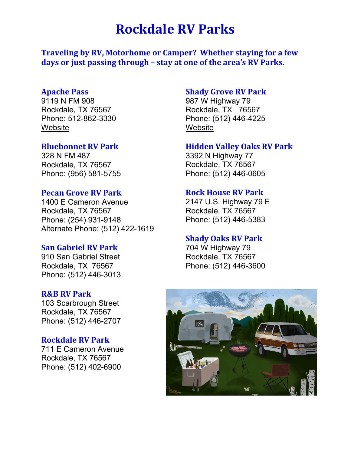# **Rockdale RV Parks**

**Traveling by RV, Motorhome or Camper? Whether staying for a few days or just passing through – stay at one of the area's RV Parks.**

### **Apache Pass**

9119 N FM 908 Rockdale, TX 76567 Phone: 512-862-3330 **[Website](http://www.apachepass.com/rv-park.html)** 

#### **Bluebonnet RV Park**

328 N FM 487 Rockdale, TX 76567 Phone: (956) 581-5755

# **Pecan Grove RV Park**

1400 E Cameron Avenue Rockdale, TX 76567 Phone: (254) 931-9148 Alternate Phone: (512) 422-1619

# **San Gabriel RV Park**

910 San Gabriel Street Rockdale, TX 76567 Phone: (512) 446-3013

### **R&B RV Park**

103 Scarbrough Street Rockdale, TX 76567 Phone: (512) 446-2707

# **Rockdale RV Park**

711 E Cameron Avenue Rockdale, TX 76567 Phone: (512) 402-6900

# **Shady Grove RV Park**

987 W Highway 79 Rockdale, TX 76567 Phone: (512) 446-4225 **[Website](http://rockdaleshadygrovervpark.com/)** 

# **Hidden Valley Oaks RV Park**

3392 N Highway 77 Rockdale, TX 76567 Phone: (512) 446-0605

# **Rock House RV Park**

2147 U.S. Highway 79 E Rockdale, TX 76567 Phone: (512) 446-5383

#### **Shady Oaks RV Park**

704 W Highway 79 Rockdale, TX 76567 Phone: (512) 446-3600